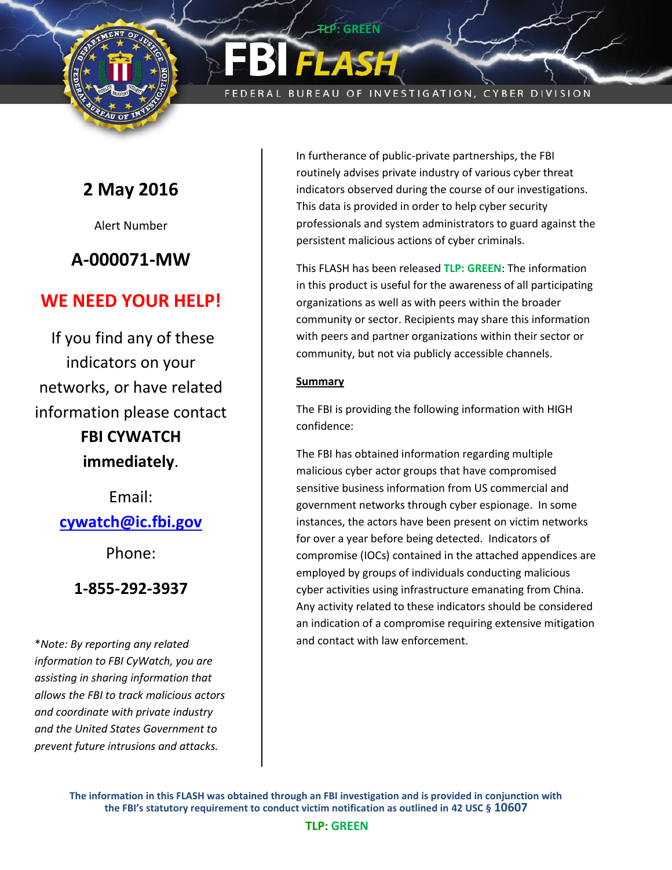

FEDERAL BUREAU OF INVESTIGATION, CYBER DIVISION

**P: GREEN** 

# **2 May 2016**

Alert Number

# **A-000071-MW**

### **WE NEED YOUR HELP!**

If you find any of these indicators on your networks, or have related information please contact **FBI CYWATCH** 

**immediately**.

Email: **[cywatch@ic.fbi.gov](mailto:cywatch@ic.fbi.gov?subject=Cyber%20Flash%20Alert%20Question)**

Phone:

### **1-855-292-3937**

\**Note: By reporting any related information to FBI CyWatch, you are assisting in sharing information that allows the FBI to track malicious actors and coordinate with private industry and the United States Government to prevent future intrusions and attacks.*

In furtherance of public-private partnerships, the FBI routinely advises private industry of various cyber threat indicators observed during the course of our investigations. This data is provided in order to help cyber security professionals and system administrators to guard against the persistent malicious actions of cyber criminals.

This FLASH has been released **TLP: GREEN**: The information in this product is useful for the awareness of all participating organizations as well as with peers within the broader community or sector. Recipients may share this information with peers and partner organizations within their sector or community, but not via publicly accessible channels.

#### **Summary**

The FBI is providing the following information with HIGH confidence:

The FBI has obtained information regarding multiple malicious cyber actor groups that have compromised sensitive business information from US commercial and government networks through cyber espionage. In some instances, the actors have been present on victim networks for over a year before being detected. Indicators of compromise (IOCs) contained in the attached appendices are employed by groups of individuals conducting malicious cyber activities using infrastructure emanating from China. Any activity related to these indicators should be considered an indication of a compromise requiring extensive mitigation and contact with law enforcement.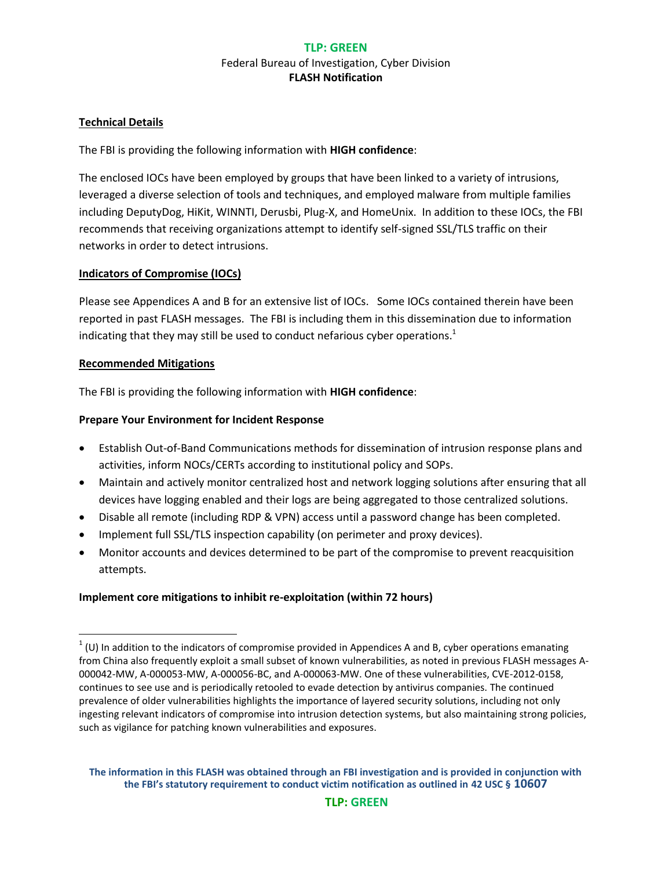#### **Technical Details**

The FBI is providing the following information with **HIGH confidence**:

The enclosed IOCs have been employed by groups that have been linked to a variety of intrusions, leveraged a diverse selection of tools and techniques, and employed malware from multiple families including DeputyDog, HiKit, WINNTI, Derusbi, Plug-X, and HomeUnix. In addition to these IOCs, the FBI recommends that receiving organizations attempt to identify self-signed SSL/TLS traffic on their networks in order to detect intrusions.

#### **Indicators of Compromise (IOCs)**

Please see Appendices A and B for an extensive list of IOCs. Some IOCs contained therein have been reported in past FLASH messages. The FBI is including them in this dissemination due to information indicating that they may still be used to conduct nefarious cyber operations.<sup>1</sup>

#### **Recommended Mitigations**

 $\overline{\phantom{a}}$ 

The FBI is providing the following information with **HIGH confidence**:

#### **Prepare Your Environment for Incident Response**

- Establish Out-of-Band Communications methods for dissemination of intrusion response plans and activities, inform NOCs/CERTs according to institutional policy and SOPs.
- Maintain and actively monitor centralized host and network logging solutions after ensuring that all devices have logging enabled and their logs are being aggregated to those centralized solutions.
- Disable all remote (including RDP & VPN) access until a password change has been completed.
- Implement full SSL/TLS inspection capability (on perimeter and proxy devices).
- Monitor accounts and devices determined to be part of the compromise to prevent reacquisition attempts.

#### **Implement core mitigations to inhibit re-exploitation (within 72 hours)**

 $1$  (U) In addition to the indicators of compromise provided in Appendices A and B, cyber operations emanating from China also frequently exploit a small subset of known vulnerabilities, as noted in previous FLASH messages A-000042-MW, A-000053-MW, A-000056-BC, and A-000063-MW. One of these vulnerabilities, CVE-2012-0158, continues to see use and is periodically retooled to evade detection by antivirus companies. The continued prevalence of older vulnerabilities highlights the importance of layered security solutions, including not only ingesting relevant indicators of compromise into intrusion detection systems, but also maintaining strong policies, such as vigilance for patching known vulnerabilities and exposures.

**The information in this FLASH was obtained through an FBI investigation and is provided in conjunction with the FBI's statutory requirement to conduct victim notification as outlined in 42 USC § 10607**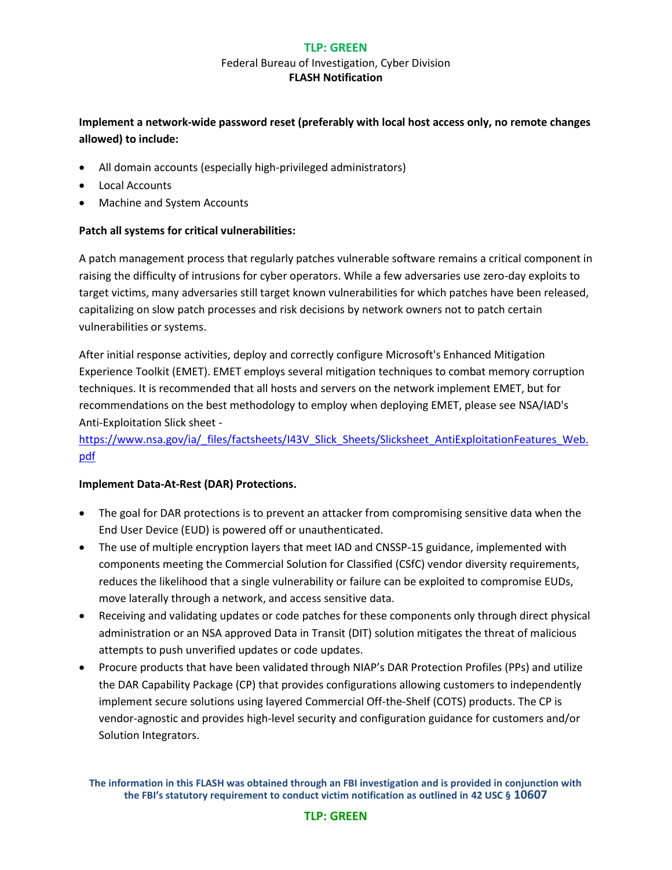#### **TLP: GREEN**

#### Federal Bureau of Investigation, Cyber Division **FLASH Notification**

#### **Implement a network-wide password reset (preferably with local host access only, no remote changes allowed) to include:**

- All domain accounts (especially high-privileged administrators)
- Local Accounts
- Machine and System Accounts

#### **Patch all systems for critical vulnerabilities:**

A patch management process that regularly patches vulnerable software remains a critical component in raising the difficulty of intrusions for cyber operators. While a few adversaries use zero-day exploits to target victims, many adversaries still target known vulnerabilities for which patches have been released, capitalizing on slow patch processes and risk decisions by network owners not to patch certain vulnerabilities or systems.

After initial response activities, deploy and correctly configure Microsoft's Enhanced Mitigation Experience Toolkit (EMET). EMET employs several mitigation techniques to combat memory corruption techniques. It is recommended that all hosts and servers on the network implement EMET, but for recommendations on the best methodology to employ when deploying EMET, please see NSA/IAD's Anti-Exploitation Slick sheet -

[https://www.nsa.gov/ia/\\_files/factsheets/I43V\\_Slick\\_Sheets/Slicksheet\\_AntiExploitationFeatures\\_Web.](https://www.nsa.gov/ia/_files/factsheets/I43V_Slick_Sheets/Slicksheet_AntiExploitationFeatures_Web.pdf) [pdf](https://www.nsa.gov/ia/_files/factsheets/I43V_Slick_Sheets/Slicksheet_AntiExploitationFeatures_Web.pdf)

#### **Implement Data-At-Rest (DAR) Protections.**

- The goal for DAR protections is to prevent an attacker from compromising sensitive data when the End User Device (EUD) is powered off or unauthenticated.
- The use of multiple encryption layers that meet IAD and CNSSP-15 guidance, implemented with components meeting the Commercial Solution for Classified (CSfC) vendor diversity requirements, reduces the likelihood that a single vulnerability or failure can be exploited to compromise EUDs, move laterally through a network, and access sensitive data.
- Receiving and validating updates or code patches for these components only through direct physical administration or an NSA approved Data in Transit (DIT) solution mitigates the threat of malicious attempts to push unverified updates or code updates.
- Procure products that have been validated through NIAP's DAR Protection Profiles (PPs) and utilize the DAR Capability Package (CP) that provides configurations allowing customers to independently implement secure solutions using layered Commercial Off-the-Shelf (COTS) products. The CP is vendor-agnostic and provides high-level security and configuration guidance for customers and/or Solution Integrators.

#### **TLP: GREEN**

**The information in this FLASH was obtained through an FBI investigation and is provided in conjunction with the FBI's statutory requirement to conduct victim notification as outlined in 42 USC § 10607**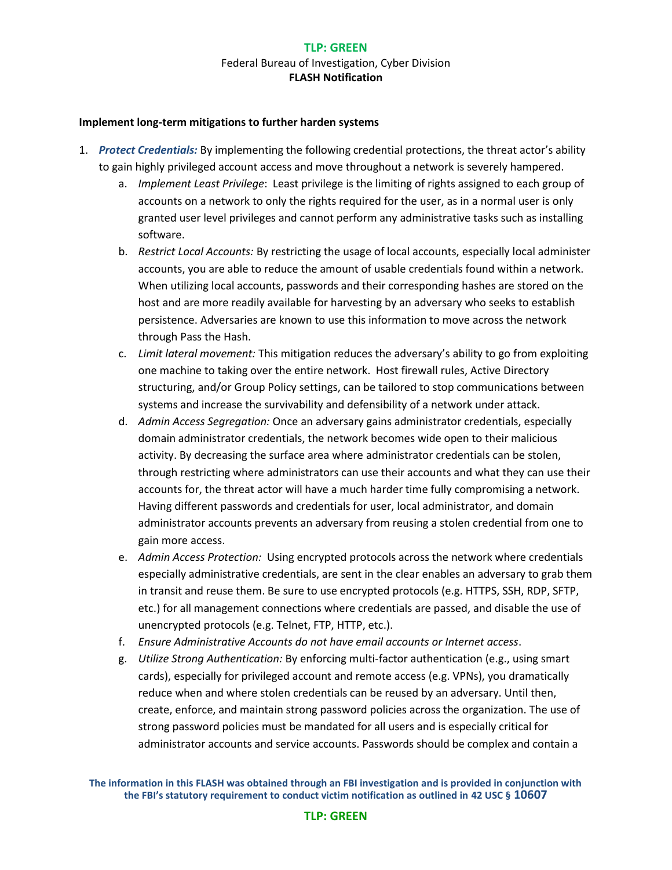#### **Implement long-term mitigations to further harden systems**

- 1. *Protect Credentials:* By implementing the following credential protections, the threat actor's ability to gain highly privileged account access and move throughout a network is severely hampered.
	- a. *Implement Least Privilege*: Least privilege is the limiting of rights assigned to each group of accounts on a network to only the rights required for the user, as in a normal user is only granted user level privileges and cannot perform any administrative tasks such as installing software.
	- b. *Restrict Local Accounts:* By restricting the usage of local accounts, especially local administer accounts, you are able to reduce the amount of usable credentials found within a network. When utilizing local accounts, passwords and their corresponding hashes are stored on the host and are more readily available for harvesting by an adversary who seeks to establish persistence. Adversaries are known to use this information to move across the network through Pass the Hash.
	- c. *Limit lateral movement:* This mitigation reduces the adversary's ability to go from exploiting one machine to taking over the entire network. Host firewall rules, Active Directory structuring, and/or Group Policy settings, can be tailored to stop communications between systems and increase the survivability and defensibility of a network under attack.
	- d. *Admin Access Segregation:* Once an adversary gains administrator credentials, especially domain administrator credentials, the network becomes wide open to their malicious activity. By decreasing the surface area where administrator credentials can be stolen, through restricting where administrators can use their accounts and what they can use their accounts for, the threat actor will have a much harder time fully compromising a network. Having different passwords and credentials for user, local administrator, and domain administrator accounts prevents an adversary from reusing a stolen credential from one to gain more access.
	- e. *Admin Access Protection:* Using encrypted protocols across the network where credentials especially administrative credentials, are sent in the clear enables an adversary to grab them in transit and reuse them. Be sure to use encrypted protocols (e.g. HTTPS, SSH, RDP, SFTP, etc.) for all management connections where credentials are passed, and disable the use of unencrypted protocols (e.g. Telnet, FTP, HTTP, etc.).
	- f. *Ensure Administrative Accounts do not have email accounts or Internet access*.
	- g. *Utilize Strong Authentication:* By enforcing multi-factor authentication (e.g., using smart cards), especially for privileged account and remote access (e.g. VPNs), you dramatically reduce when and where stolen credentials can be reused by an adversary. Until then, create, enforce, and maintain strong password policies across the organization. The use of strong password policies must be mandated for all users and is especially critical for administrator accounts and service accounts. Passwords should be complex and contain a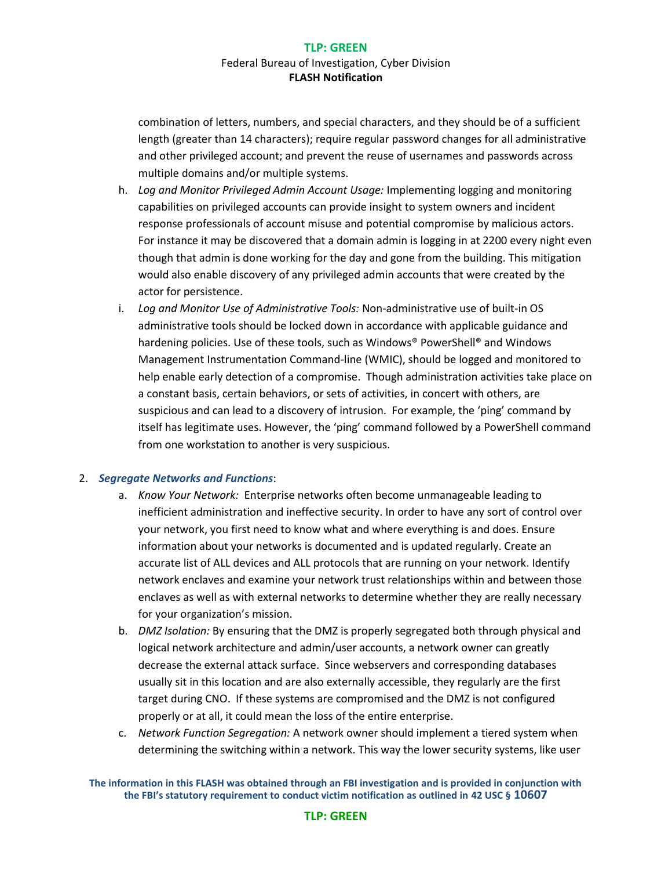combination of letters, numbers, and special characters, and they should be of a sufficient length (greater than 14 characters); require regular password changes for all administrative and other privileged account; and prevent the reuse of usernames and passwords across multiple domains and/or multiple systems.

- h. *Log and Monitor Privileged Admin Account Usage:* Implementing logging and monitoring capabilities on privileged accounts can provide insight to system owners and incident response professionals of account misuse and potential compromise by malicious actors. For instance it may be discovered that a domain admin is logging in at 2200 every night even though that admin is done working for the day and gone from the building. This mitigation would also enable discovery of any privileged admin accounts that were created by the actor for persistence.
- i. *Log and Monitor Use of Administrative Tools:* Non-administrative use of built-in OS administrative tools should be locked down in accordance with applicable guidance and hardening policies. Use of these tools, such as Windows® PowerShell® and Windows Management Instrumentation Command-line (WMIC), should be logged and monitored to help enable early detection of a compromise. Though administration activities take place on a constant basis, certain behaviors, or sets of activities, in concert with others, are suspicious and can lead to a discovery of intrusion. For example, the 'ping' command by itself has legitimate uses. However, the 'ping' command followed by a PowerShell command from one workstation to another is very suspicious.

#### 2. *Segregate Networks and Functions*:

- a. *Know Your Network:* Enterprise networks often become unmanageable leading to inefficient administration and ineffective security. In order to have any sort of control over your network, you first need to know what and where everything is and does. Ensure information about your networks is documented and is updated regularly. Create an accurate list of ALL devices and ALL protocols that are running on your network. Identify network enclaves and examine your network trust relationships within and between those enclaves as well as with external networks to determine whether they are really necessary for your organization's mission.
- b. *DMZ Isolation:* By ensuring that the DMZ is properly segregated both through physical and logical network architecture and admin/user accounts, a network owner can greatly decrease the external attack surface. Since webservers and corresponding databases usually sit in this location and are also externally accessible, they regularly are the first target during CNO. If these systems are compromised and the DMZ is not configured properly or at all, it could mean the loss of the entire enterprise.
- c. *Network Function Segregation:* A network owner should implement a tiered system when determining the switching within a network. This way the lower security systems, like user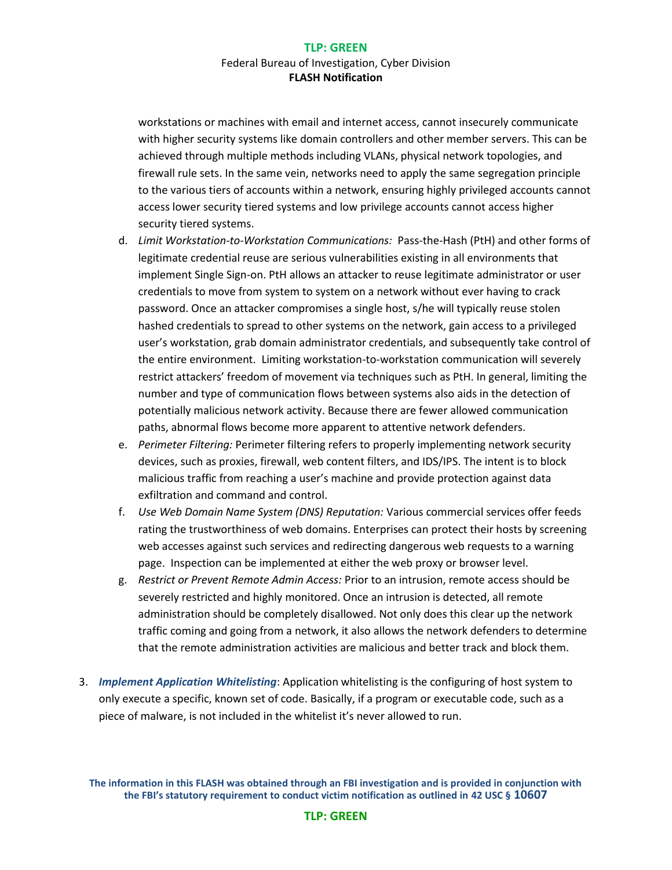workstations or machines with email and internet access, cannot insecurely communicate with higher security systems like domain controllers and other member servers. This can be achieved through multiple methods including VLANs, physical network topologies, and firewall rule sets. In the same vein, networks need to apply the same segregation principle to the various tiers of accounts within a network, ensuring highly privileged accounts cannot access lower security tiered systems and low privilege accounts cannot access higher security tiered systems.

- d. *Limit Workstation-to-Workstation Communications:* Pass-the-Hash (PtH) and other forms of legitimate credential reuse are serious vulnerabilities existing in all environments that implement Single Sign-on. PtH allows an attacker to reuse legitimate administrator or user credentials to move from system to system on a network without ever having to crack password. Once an attacker compromises a single host, s/he will typically reuse stolen hashed credentials to spread to other systems on the network, gain access to a privileged user's workstation, grab domain administrator credentials, and subsequently take control of the entire environment. Limiting workstation-to-workstation communication will severely restrict attackers' freedom of movement via techniques such as PtH. In general, limiting the number and type of communication flows between systems also aids in the detection of potentially malicious network activity. Because there are fewer allowed communication paths, abnormal flows become more apparent to attentive network defenders.
- e. *Perimeter Filtering:* Perimeter filtering refers to properly implementing network security devices, such as proxies, firewall, web content filters, and IDS/IPS. The intent is to block malicious traffic from reaching a user's machine and provide protection against data exfiltration and command and control.
- f. *Use Web Domain Name System (DNS) Reputation:* Various commercial services offer feeds rating the trustworthiness of web domains. Enterprises can protect their hosts by screening web accesses against such services and redirecting dangerous web requests to a warning page. Inspection can be implemented at either the web proxy or browser level.
- g. *Restrict or Prevent Remote Admin Access:* Prior to an intrusion, remote access should be severely restricted and highly monitored. Once an intrusion is detected, all remote administration should be completely disallowed. Not only does this clear up the network traffic coming and going from a network, it also allows the network defenders to determine that the remote administration activities are malicious and better track and block them.
- 3. *Implement Application Whitelisting*: Application whitelisting is the configuring of host system to only execute a specific, known set of code. Basically, if a program or executable code, such as a piece of malware, is not included in the whitelist it's never allowed to run.

**The information in this FLASH was obtained through an FBI investigation and is provided in conjunction with the FBI's statutory requirement to conduct victim notification as outlined in 42 USC § 10607**

#### **TLP: GREEN**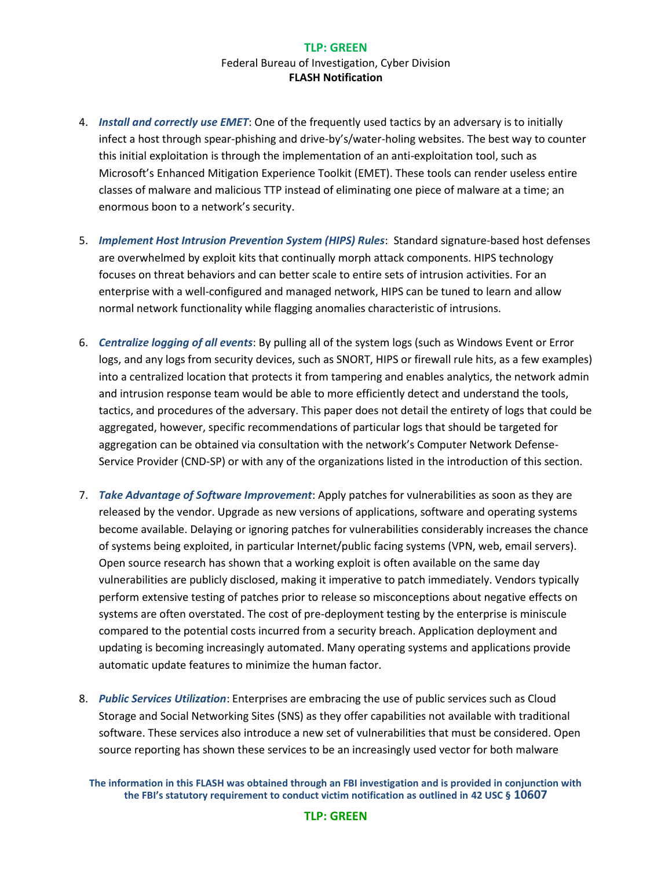- 4. *Install and correctly use EMET*: One of the frequently used tactics by an adversary is to initially infect a host through spear-phishing and drive-by's/water-holing websites. The best way to counter this initial exploitation is through the implementation of an anti-exploitation tool, such as Microsoft's Enhanced Mitigation Experience Toolkit (EMET). These tools can render useless entire classes of malware and malicious TTP instead of eliminating one piece of malware at a time; an enormous boon to a network's security.
- 5. *Implement Host Intrusion Prevention System (HIPS) Rules*: Standard signature-based host defenses are overwhelmed by exploit kits that continually morph attack components. HIPS technology focuses on threat behaviors and can better scale to entire sets of intrusion activities. For an enterprise with a well-configured and managed network, HIPS can be tuned to learn and allow normal network functionality while flagging anomalies characteristic of intrusions.
- 6. *Centralize logging of all events*: By pulling all of the system logs (such as Windows Event or Error logs, and any logs from security devices, such as SNORT, HIPS or firewall rule hits, as a few examples) into a centralized location that protects it from tampering and enables analytics, the network admin and intrusion response team would be able to more efficiently detect and understand the tools, tactics, and procedures of the adversary. This paper does not detail the entirety of logs that could be aggregated, however, specific recommendations of particular logs that should be targeted for aggregation can be obtained via consultation with the network's Computer Network Defense-Service Provider (CND-SP) or with any of the organizations listed in the introduction of this section.
- 7. *Take Advantage of Software Improvement*: Apply patches for vulnerabilities as soon as they are released by the vendor. Upgrade as new versions of applications, software and operating systems become available. Delaying or ignoring patches for vulnerabilities considerably increases the chance of systems being exploited, in particular Internet/public facing systems (VPN, web, email servers). Open source research has shown that a working exploit is often available on the same day vulnerabilities are publicly disclosed, making it imperative to patch immediately. Vendors typically perform extensive testing of patches prior to release so misconceptions about negative effects on systems are often overstated. The cost of pre-deployment testing by the enterprise is miniscule compared to the potential costs incurred from a security breach. Application deployment and updating is becoming increasingly automated. Many operating systems and applications provide automatic update features to minimize the human factor.
- 8. *Public Services Utilization*: Enterprises are embracing the use of public services such as Cloud Storage and Social Networking Sites (SNS) as they offer capabilities not available with traditional software. These services also introduce a new set of vulnerabilities that must be considered. Open source reporting has shown these services to be an increasingly used vector for both malware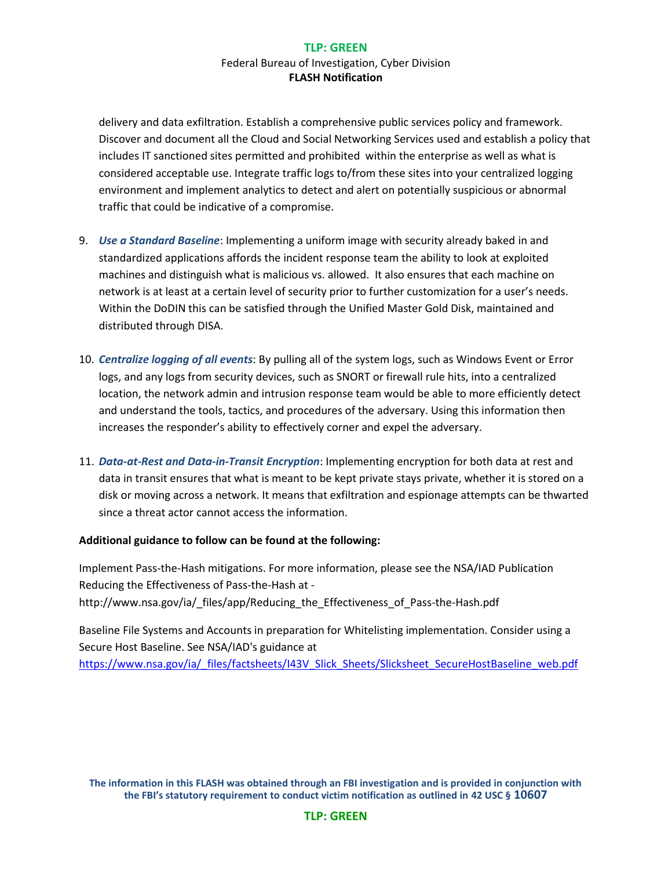delivery and data exfiltration. Establish a comprehensive public services policy and framework. Discover and document all the Cloud and Social Networking Services used and establish a policy that includes IT sanctioned sites permitted and prohibited within the enterprise as well as what is considered acceptable use. Integrate traffic logs to/from these sites into your centralized logging environment and implement analytics to detect and alert on potentially suspicious or abnormal traffic that could be indicative of a compromise.

- 9. *Use a Standard Baseline*: Implementing a uniform image with security already baked in and standardized applications affords the incident response team the ability to look at exploited machines and distinguish what is malicious vs. allowed. It also ensures that each machine on network is at least at a certain level of security prior to further customization for a user's needs. Within the DoDIN this can be satisfied through the Unified Master Gold Disk, maintained and distributed through DISA.
- 10. *Centralize logging of all events*: By pulling all of the system logs, such as Windows Event or Error logs, and any logs from security devices, such as SNORT or firewall rule hits, into a centralized location, the network admin and intrusion response team would be able to more efficiently detect and understand the tools, tactics, and procedures of the adversary. Using this information then increases the responder's ability to effectively corner and expel the adversary.
- 11. *Data-at-Rest and Data-in-Transit Encryption*: Implementing encryption for both data at rest and data in transit ensures that what is meant to be kept private stays private, whether it is stored on a disk or moving across a network. It means that exfiltration and espionage attempts can be thwarted since a threat actor cannot access the information.

#### **Additional guidance to follow can be found at the following:**

Implement Pass-the-Hash mitigations. For more information, please see the NSA/IAD Publication Reducing the Effectiveness of Pass-the-Hash at http://www.nsa.gov/ia/\_files/app/Reducing\_the\_Effectiveness\_of\_Pass-the-Hash.pdf

Baseline File Systems and Accounts in preparation for Whitelisting implementation. Consider using a Secure Host Baseline. See NSA/IAD's guidance at [https://www.nsa.gov/ia/\\_files/factsheets/I43V\\_Slick\\_Sheets/Slicksheet\\_SecureHostBaseline\\_web.pdf](https://www.nsa.gov/ia/_files/factsheets/I43V_Slick_Sheets/Slicksheet_SecureHostBaseline_web.pdf)